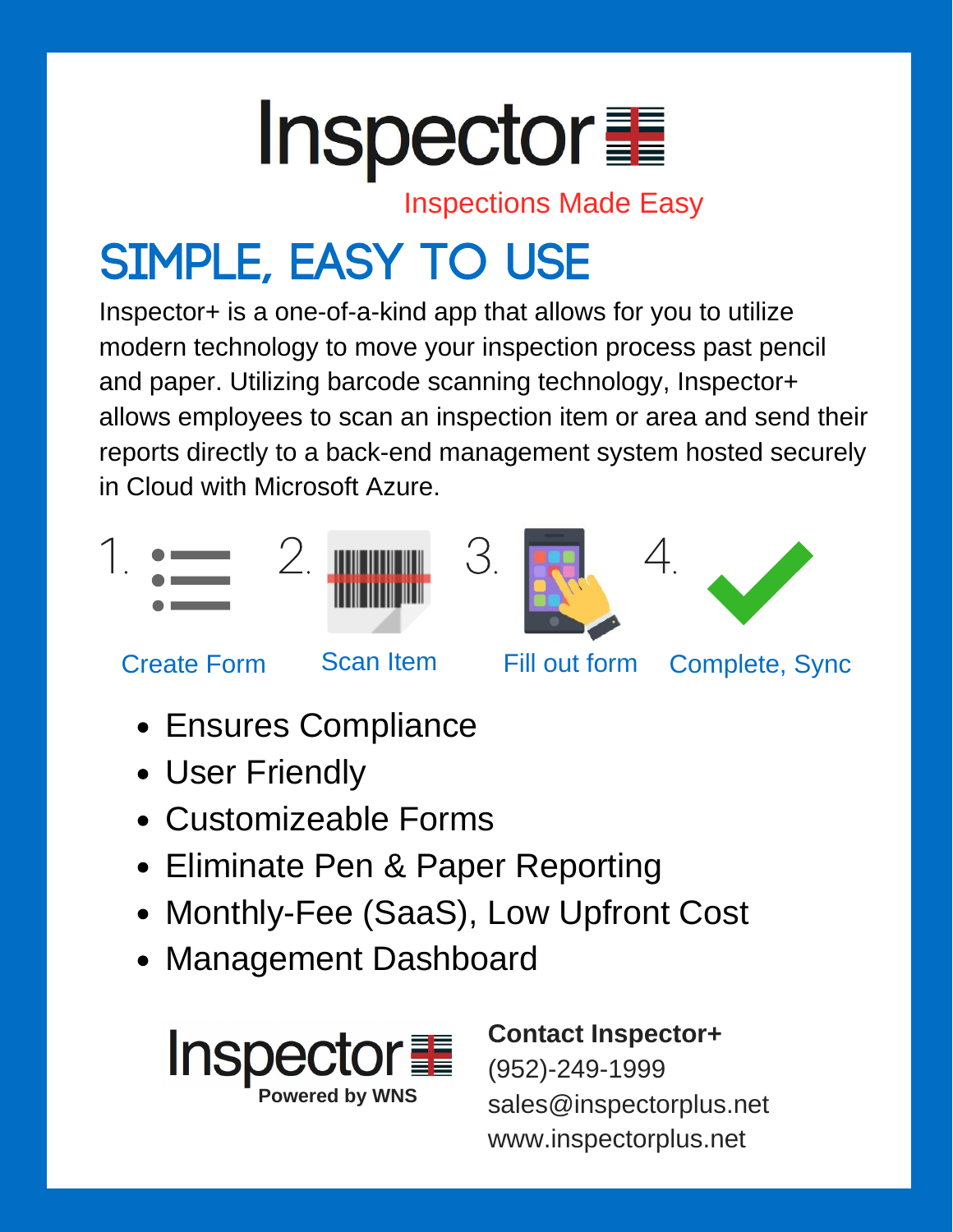

Inspections Made Easy

## Simple, easy to use

Inspector+ is a one-of-a-kind app that allows for you to utilize modern technology to move your inspection process past pencil and paper. Utilizing barcode scanning technology, Inspector+ allows employees to scan an inspection item or area and send their reports directly to a back-end management system hosted securely in Cloud with Microsoft Azure.











Create Form Scan Item Fill out form Complete, Sync

- Ensures Compliance
- User Friendly
- Customizeable Forms
- Eliminate Pen & Paper Reporting
- Monthly-Fee (SaaS), Low Upfront Cost
- Management Dashboard



## **Contact Inspector+** (952)-249-1999 sales@inspectorplus.net www.inspectorplus.net